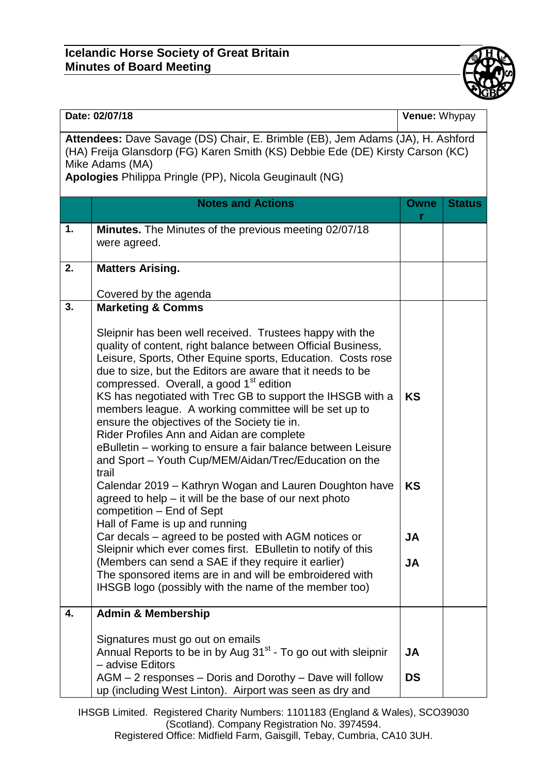## **Icelandic Horse Society of Great Britain Minutes of Board Meeting**



| Date: 02/07/18                                                                                                                                                                                                                                 |                                                                                                                                                                                                                                                                                                                                                                                                                                                                                                                                                                                                                                                                    | Venue: Whypay                       |               |  |
|------------------------------------------------------------------------------------------------------------------------------------------------------------------------------------------------------------------------------------------------|--------------------------------------------------------------------------------------------------------------------------------------------------------------------------------------------------------------------------------------------------------------------------------------------------------------------------------------------------------------------------------------------------------------------------------------------------------------------------------------------------------------------------------------------------------------------------------------------------------------------------------------------------------------------|-------------------------------------|---------------|--|
| Attendees: Dave Savage (DS) Chair, E. Brimble (EB), Jem Adams (JA), H. Ashford<br>(HA) Freija Glansdorp (FG) Karen Smith (KS) Debbie Ede (DE) Kirsty Carson (KC)<br>Mike Adams (MA)<br>Apologies Philippa Pringle (PP), Nicola Geuginault (NG) |                                                                                                                                                                                                                                                                                                                                                                                                                                                                                                                                                                                                                                                                    |                                     |               |  |
|                                                                                                                                                                                                                                                | <b>Notes and Actions</b>                                                                                                                                                                                                                                                                                                                                                                                                                                                                                                                                                                                                                                           | <b>Owne</b>                         | <b>Status</b> |  |
| 1.                                                                                                                                                                                                                                             | <b>Minutes.</b> The Minutes of the previous meeting 02/07/18<br>were agreed.                                                                                                                                                                                                                                                                                                                                                                                                                                                                                                                                                                                       |                                     |               |  |
| 2.                                                                                                                                                                                                                                             | <b>Matters Arising.</b>                                                                                                                                                                                                                                                                                                                                                                                                                                                                                                                                                                                                                                            |                                     |               |  |
|                                                                                                                                                                                                                                                | Covered by the agenda                                                                                                                                                                                                                                                                                                                                                                                                                                                                                                                                                                                                                                              |                                     |               |  |
| 3.                                                                                                                                                                                                                                             | <b>Marketing &amp; Comms</b>                                                                                                                                                                                                                                                                                                                                                                                                                                                                                                                                                                                                                                       |                                     |               |  |
|                                                                                                                                                                                                                                                | Sleipnir has been well received. Trustees happy with the<br>quality of content, right balance between Official Business,<br>Leisure, Sports, Other Equine sports, Education. Costs rose<br>due to size, but the Editors are aware that it needs to be<br>compressed. Overall, a good 1 <sup>st</sup> edition<br>KS has negotiated with Trec GB to support the IHSGB with a<br>members league. A working committee will be set up to<br>ensure the objectives of the Society tie in.<br>Rider Profiles Ann and Aidan are complete<br>eBulletin - working to ensure a fair balance between Leisure<br>and Sport - Youth Cup/MEM/Aidan/Trec/Education on the<br>trail | <b>KS</b>                           |               |  |
|                                                                                                                                                                                                                                                | Calendar 2019 - Kathryn Wogan and Lauren Doughton have<br>agreed to help $-$ it will be the base of our next photo<br>competition - End of Sept<br>Hall of Fame is up and running<br>Car decals – agreed to be posted with AGM notices or<br>Sleipnir which ever comes first. EBulletin to notify of this<br>(Members can send a SAE if they require it earlier)<br>The sponsored items are in and will be embroidered with<br>IHSGB logo (possibly with the name of the member too)                                                                                                                                                                               | <b>KS</b><br><b>JA</b><br><b>JA</b> |               |  |
| 4.                                                                                                                                                                                                                                             | <b>Admin &amp; Membership</b>                                                                                                                                                                                                                                                                                                                                                                                                                                                                                                                                                                                                                                      |                                     |               |  |
|                                                                                                                                                                                                                                                | Signatures must go out on emails<br>Annual Reports to be in by Aug 31 <sup>st</sup> - To go out with sleipnir<br>- advise Editors<br>AGM - 2 responses - Doris and Dorothy - Dave will follow<br>up (including West Linton). Airport was seen as dry and                                                                                                                                                                                                                                                                                                                                                                                                           | JA<br><b>DS</b>                     |               |  |

IHSGB Limited. Registered Charity Numbers: 1101183 (England & Wales), SCO39030 (Scotland). Company Registration No. 3974594. Registered Office: Midfield Farm, Gaisgill, Tebay, Cumbria, CA10 3UH.